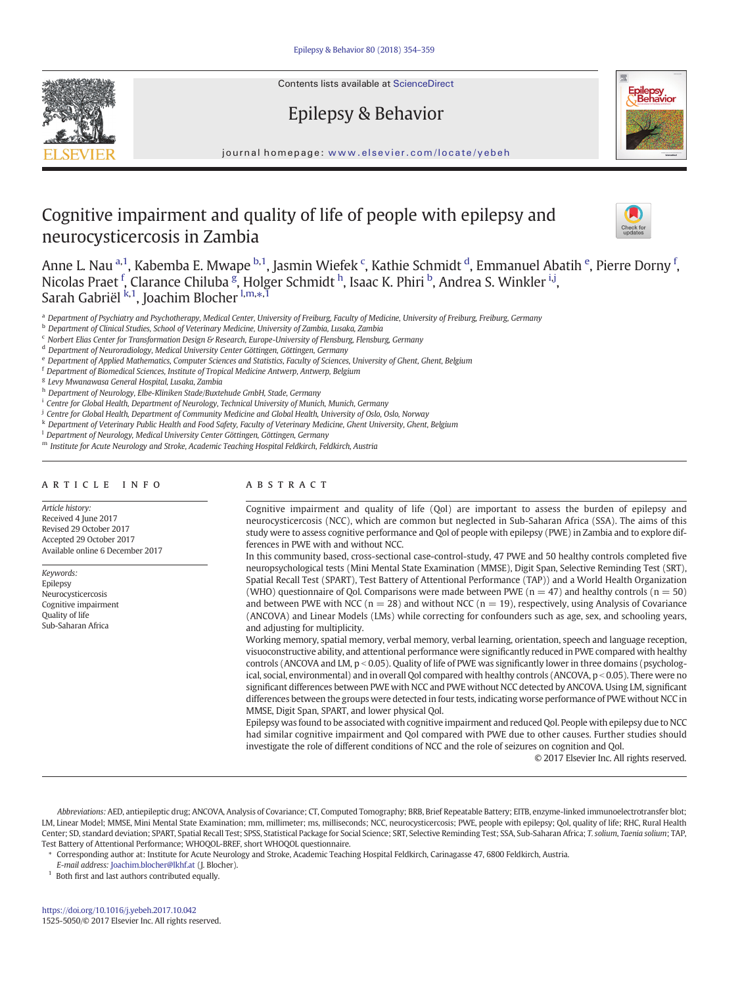Contents lists available at ScienceDirect



Epilepsy & Behavior



journal homepage: <www.elsevier.com/locate/yebeh>

# Cognitive impairment and quality of life of people with epilepsy and neurocysticercosis in Zambia



Anne L. Nau <sup>a,1</sup>, Kabemba E. Mwape <sup>b,1</sup>, Jasmin Wiefek <sup>c</sup>, Kathie Schmidt <sup>d</sup>, Emmanuel Abatih <sup>e</sup>, Pierre Dorny <sup>f</sup>, Nicolas Praet <sup>f</sup>, Clarance Chiluba <sup>g</sup>, Holger Schmidt <sup>h</sup>, Isaac K. Phiri <sup>b</sup>, Andrea S. Winkler <sup>i, j</sup>, Sarah Gabriël <sup>k,1</sup>, Joachim Blocher <sup>I,m,</sup>\*<sup>,1</sup>

<sup>a</sup> Department of Psychiatry and Psychotherapy, Medical Center, University of Freiburg, Faculty of Medicine, University of Freiburg, Freiburg, Germany

- <sup>b</sup> Department of Clinical Studies, School of Veterinary Medicine, University of Zambia, Lusaka, Zambia
- $c$  Norbert Elias Center for Transformation Design & Research, Europe-University of Flensburg, Flensburg, Germany
- <sup>d</sup> Department of Neuroradiology, Medical University Center Göttingen, Göttingen, Germany
- <sup>e</sup> Department of Applied Mathematics, Computer Sciences and Statistics, Faculty of Sciences, University of Ghent, Ghent, Belgium
- <sup>f</sup> Department of Biomedical Sciences, Institute of Tropical Medicine Antwerp, Antwerp, Belgium

<sup>g</sup> Levy Mwanawasa General Hospital, Lusaka, Zambia

- h Department of Neurology, Elbe-Kliniken Stade/Buxtehude GmbH, Stade, Germany
- <sup>i</sup> Centre for Global Health, Department of Neurology, Technical University of Munich, Munich, Germany
- <sup>j</sup> Centre for Global Health, Department of Community Medicine and Global Health, University of Oslo, Oslo, Norway
- <sup>k</sup> Department of Veterinary Public Health and Food Safety, Faculty of Veterinary Medicine, Ghent University, Ghent, Belgium
- <sup>1</sup> Department of Neurology, Medical University Center Göttingen, Göttingen, Germany
- m Institute for Acute Neurology and Stroke, Academic Teaching Hospital Feldkirch, Feldkirch, Austria

# article info abstract

Article history: Received 4 June 2017 Revised 29 October 2017 Accepted 29 October 2017 Available online 6 December 2017

Keywords: Epilepsy Neurocysticercosis Cognitive impairment Quality of life Sub-Saharan Africa

Cognitive impairment and quality of life (Qol) are important to assess the burden of epilepsy and neurocysticercosis (NCC), which are common but neglected in Sub-Saharan Africa (SSA). The aims of this study were to assess cognitive performance and Qol of people with epilepsy (PWE) in Zambia and to explore differences in PWE with and without NCC.

In this community based, cross-sectional case-control-study, 47 PWE and 50 healthy controls completed five neuropsychological tests (Mini Mental State Examination (MMSE), Digit Span, Selective Reminding Test (SRT), Spatial Recall Test (SPART), Test Battery of Attentional Performance (TAP)) and a World Health Organization (WHO) questionnaire of Qol. Comparisons were made between PWE ( $n = 47$ ) and healthy controls ( $n = 50$ ) and between PWE with NCC ( $n = 28$ ) and without NCC ( $n = 19$ ), respectively, using Analysis of Covariance (ANCOVA) and Linear Models (LMs) while correcting for confounders such as age, sex, and schooling years, and adjusting for multiplicity.

Working memory, spatial memory, verbal memory, verbal learning, orientation, speech and language reception, visuoconstructive ability, and attentional performance were significantly reduced in PWE compared with healthy controls (ANCOVA and LM,  $p < 0.05$ ). Quality of life of PWE was significantly lower in three domains (psychological, social, environmental) and in overall Qol compared with healthy controls (ANCOVA,  $p < 0.05$ ). There were no significant differences between PWE with NCC and PWE without NCC detected by ANCOVA. Using LM, significant differences between the groups were detected in four tests, indicating worse performance of PWE without NCC in MMSE, Digit Span, SPART, and lower physical Qol.

Epilepsy was found to be associated with cognitive impairment and reduced Qol. People with epilepsy due to NCC had similar cognitive impairment and Qol compared with PWE due to other causes. Further studies should investigate the role of different conditions of NCC and the role of seizures on cognition and Qol.

© 2017 Elsevier Inc. All rights reserved.

Abbreviations: AED, antiepileptic drug; ANCOVA, Analysis of Covariance; CT, Computed Tomography; BRB, Brief Repeatable Battery; EITB, enzyme-linked immunoelectrotransfer blot; LM, Linear Model; MMSE, Mini Mental State Examination; mm, millimeter; ms, milliseconds; NCC, neurocysticercosis; PWE, people with epilepsy; Qol, quality of life; RHC, Rural Health Center; SD, standard deviation; SPART, Spatial Recall Test; SPSS, Statistical Package for Social Science; SRT, Selective Reminding Test; SSA, Sub-Saharan Africa; T. solium, Taenia solium; TAP, Test Battery of Attentional Performance; WHOQOL-BREF, short WHOQOL questionnaire.

- ⁎ Corresponding author at: Institute for Acute Neurology and Stroke, Academic Teaching Hospital Feldkirch, Carinagasse 47, 6800 Feldkirch, Austria.
- E-mail address: [Joachim.blocher@lkhf.at](mailto:Joachim.blocher@lkhf.at) (J. Blocher).

 $1$  Both first and last authors contributed equally.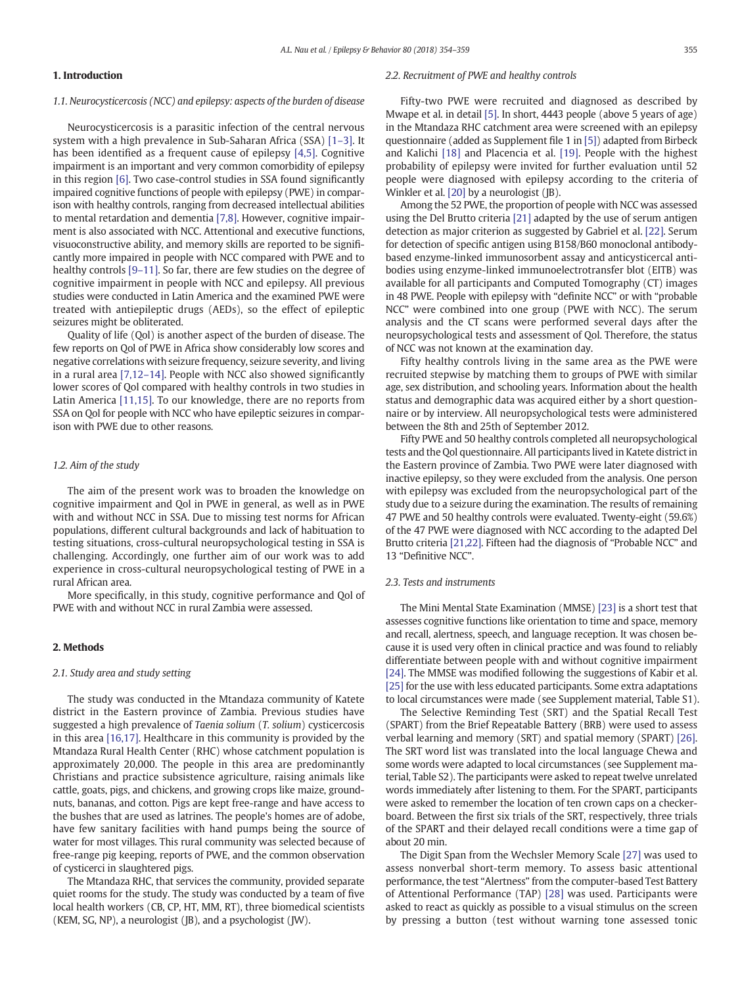# 1. Introduction

#### 1.1. Neurocysticercosis (NCC) and epilepsy: aspects of the burden of disease

Neurocysticercosis is a parasitic infection of the central nervous system with a high prevalence in Sub-Saharan Africa (SSA) [1–[3\].](#page-5-0) It has been identified as a frequent cause of epilepsy [\[4,5\].](#page-5-0) Cognitive impairment is an important and very common comorbidity of epilepsy in this region [\[6\].](#page-5-0) Two case-control studies in SSA found significantly impaired cognitive functions of people with epilepsy (PWE) in comparison with healthy controls, ranging from decreased intellectual abilities to mental retardation and dementia [\[7,8\].](#page-5-0) However, cognitive impairment is also associated with NCC. Attentional and executive functions, visuoconstructive ability, and memory skills are reported to be significantly more impaired in people with NCC compared with PWE and to healthy controls [9–[11\]](#page-5-0). So far, there are few studies on the degree of cognitive impairment in people with NCC and epilepsy. All previous studies were conducted in Latin America and the examined PWE were treated with antiepileptic drugs (AEDs), so the effect of epileptic seizures might be obliterated.

Quality of life (Qol) is another aspect of the burden of disease. The few reports on Qol of PWE in Africa show considerably low scores and negative correlations with seizure frequency, seizure severity, and living in a rural area [\[7,12](#page-5-0)–14]. People with NCC also showed significantly lower scores of Qol compared with healthy controls in two studies in Latin America [\[11,15\]](#page-5-0). To our knowledge, there are no reports from SSA on Qol for people with NCC who have epileptic seizures in comparison with PWE due to other reasons.

# 1.2. Aim of the study

The aim of the present work was to broaden the knowledge on cognitive impairment and Qol in PWE in general, as well as in PWE with and without NCC in SSA. Due to missing test norms for African populations, different cultural backgrounds and lack of habituation to testing situations, cross-cultural neuropsychological testing in SSA is challenging. Accordingly, one further aim of our work was to add experience in cross-cultural neuropsychological testing of PWE in a rural African area.

More specifically, in this study, cognitive performance and Qol of PWE with and without NCC in rural Zambia were assessed.

# 2. Methods

## 2.1. Study area and study setting

The study was conducted in the Mtandaza community of Katete district in the Eastern province of Zambia. Previous studies have suggested a high prevalence of Taenia solium (T. solium) cysticercosis in this area [\[16,17\].](#page-5-0) Healthcare in this community is provided by the Mtandaza Rural Health Center (RHC) whose catchment population is approximately 20,000. The people in this area are predominantly Christians and practice subsistence agriculture, raising animals like cattle, goats, pigs, and chickens, and growing crops like maize, groundnuts, bananas, and cotton. Pigs are kept free-range and have access to the bushes that are used as latrines. The people's homes are of adobe, have few sanitary facilities with hand pumps being the source of water for most villages. This rural community was selected because of free-range pig keeping, reports of PWE, and the common observation of cysticerci in slaughtered pigs.

The Mtandaza RHC, that services the community, provided separate quiet rooms for the study. The study was conducted by a team of five local health workers (CB, CP, HT, MM, RT), three biomedical scientists (KEM, SG, NP), a neurologist (JB), and a psychologist (JW).

#### 2.2. Recruitment of PWE and healthy controls

Fifty-two PWE were recruited and diagnosed as described by Mwape et al. in detail [\[5\]](#page-5-0). In short, 4443 people (above 5 years of age) in the Mtandaza RHC catchment area were screened with an epilepsy questionnaire (added as Supplement file 1 in [\[5\]](#page-5-0)) adapted from Birbeck and Kalichi [\[18\]](#page-5-0) and Placencia et al. [\[19\].](#page-5-0) People with the highest probability of epilepsy were invited for further evaluation until 52 people were diagnosed with epilepsy according to the criteria of Winkler et al. [\[20\]](#page-5-0) by a neurologist (JB).

Among the 52 PWE, the proportion of people with NCC was assessed using the Del Brutto criteria [\[21\]](#page-5-0) adapted by the use of serum antigen detection as major criterion as suggested by Gabriel et al. [\[22\]](#page-5-0). Serum for detection of specific antigen using B158/B60 monoclonal antibodybased enzyme-linked immunosorbent assay and anticysticercal antibodies using enzyme-linked immunoelectrotransfer blot (EITB) was available for all participants and Computed Tomography (CT) images in 48 PWE. People with epilepsy with "definite NCC" or with "probable NCC" were combined into one group (PWE with NCC). The serum analysis and the CT scans were performed several days after the neuropsychological tests and assessment of Qol. Therefore, the status of NCC was not known at the examination day.

Fifty healthy controls living in the same area as the PWE were recruited stepwise by matching them to groups of PWE with similar age, sex distribution, and schooling years. Information about the health status and demographic data was acquired either by a short questionnaire or by interview. All neuropsychological tests were administered between the 8th and 25th of September 2012.

Fifty PWE and 50 healthy controls completed all neuropsychological tests and the Qol questionnaire. All participants lived in Katete district in the Eastern province of Zambia. Two PWE were later diagnosed with inactive epilepsy, so they were excluded from the analysis. One person with epilepsy was excluded from the neuropsychological part of the study due to a seizure during the examination. The results of remaining 47 PWE and 50 healthy controls were evaluated. Twenty-eight (59.6%) of the 47 PWE were diagnosed with NCC according to the adapted Del Brutto criteria [\[21,22\]](#page-5-0). Fifteen had the diagnosis of "Probable NCC" and 13 "Definitive NCC".

# 2.3. Tests and instruments

The Mini Mental State Examination (MMSE) [\[23\]](#page-5-0) is a short test that assesses cognitive functions like orientation to time and space, memory and recall, alertness, speech, and language reception. It was chosen because it is used very often in clinical practice and was found to reliably differentiate between people with and without cognitive impairment [\[24\]](#page-5-0). The MMSE was modified following the suggestions of Kabir et al. [\[25\]](#page-5-0) for the use with less educated participants. Some extra adaptations to local circumstances were made (see Supplement material, Table S1).

The Selective Reminding Test (SRT) and the Spatial Recall Test (SPART) from the Brief Repeatable Battery (BRB) were used to assess verbal learning and memory (SRT) and spatial memory (SPART) [\[26\].](#page-5-0) The SRT word list was translated into the local language Chewa and some words were adapted to local circumstances (see Supplement material, Table S2). The participants were asked to repeat twelve unrelated words immediately after listening to them. For the SPART, participants were asked to remember the location of ten crown caps on a checkerboard. Between the first six trials of the SRT, respectively, three trials of the SPART and their delayed recall conditions were a time gap of about 20 min.

The Digit Span from the Wechsler Memory Scale [\[27\]](#page-5-0) was used to assess nonverbal short-term memory. To assess basic attentional performance, the test "Alertness" from the computer-based Test Battery of Attentional Performance (TAP) [\[28\]](#page-5-0) was used. Participants were asked to react as quickly as possible to a visual stimulus on the screen by pressing a button (test without warning tone assessed tonic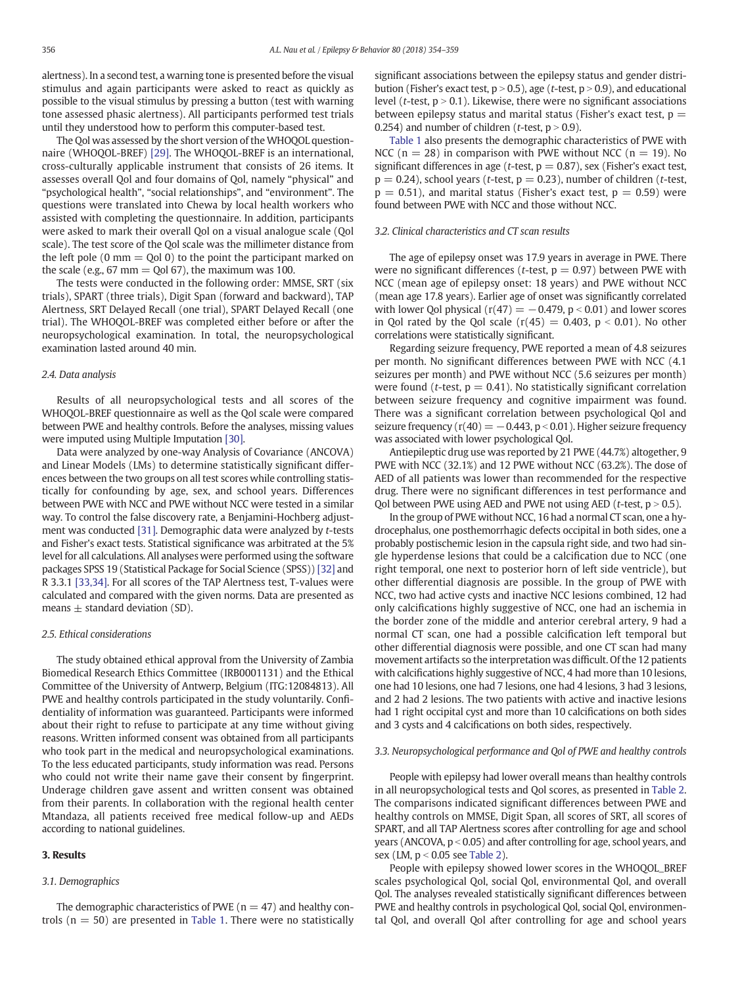<span id="page-2-0"></span>alertness). In a second test, a warning tone is presented before the visual stimulus and again participants were asked to react as quickly as possible to the visual stimulus by pressing a button (test with warning tone assessed phasic alertness). All participants performed test trials until they understood how to perform this computer-based test.

The Qol was assessed by the short version of the WHOQOL questionnaire (WHOQOL-BREF) [\[29\]](#page-5-0). The WHOQOL-BREF is an international, cross-culturally applicable instrument that consists of 26 items. It assesses overall Qol and four domains of Qol, namely "physical" and "psychological health", "social relationships", and "environment". The questions were translated into Chewa by local health workers who assisted with completing the questionnaire. In addition, participants were asked to mark their overall Qol on a visual analogue scale (Qol scale). The test score of the Qol scale was the millimeter distance from the left pole  $(0 \text{ mm} = Q_0 | 0)$  to the point the participant marked on the scale (e.g.,  $67 \text{ mm} = \text{Qol } 67$ ), the maximum was 100.

The tests were conducted in the following order: MMSE, SRT (six trials), SPART (three trials), Digit Span (forward and backward), TAP Alertness, SRT Delayed Recall (one trial), SPART Delayed Recall (one trial). The WHOQOL-BREF was completed either before or after the neuropsychological examination. In total, the neuropsychological examination lasted around 40 min.

#### 2.4. Data analysis

Results of all neuropsychological tests and all scores of the WHOQOL-BREF questionnaire as well as the Qol scale were compared between PWE and healthy controls. Before the analyses, missing values were imputed using Multiple Imputation [\[30\].](#page-5-0)

Data were analyzed by one-way Analysis of Covariance (ANCOVA) and Linear Models (LMs) to determine statistically significant differences between the two groups on all test scores while controlling statistically for confounding by age, sex, and school years. Differences between PWE with NCC and PWE without NCC were tested in a similar way. To control the false discovery rate, a Benjamini-Hochberg adjustment was conducted [\[31\]](#page-5-0). Demographic data were analyzed by t-tests and Fisher's exact tests. Statistical significance was arbitrated at the 5% level for all calculations. All analyses were performed using the software packages SPSS 19 (Statistical Package for Social Science (SPSS)) [\[32\]](#page-5-0) and R 3.3.1 [\[33,34\]](#page-5-0). For all scores of the TAP Alertness test, T-values were calculated and compared with the given norms. Data are presented as means  $\pm$  standard deviation (SD).

#### 2.5. Ethical considerations

The study obtained ethical approval from the University of Zambia Biomedical Research Ethics Committee (IRB0001131) and the Ethical Committee of the University of Antwerp, Belgium (ITG:12084813). All PWE and healthy controls participated in the study voluntarily. Confidentiality of information was guaranteed. Participants were informed about their right to refuse to participate at any time without giving reasons. Written informed consent was obtained from all participants who took part in the medical and neuropsychological examinations. To the less educated participants, study information was read. Persons who could not write their name gave their consent by fingerprint. Underage children gave assent and written consent was obtained from their parents. In collaboration with the regional health center Mtandaza, all patients received free medical follow-up and AEDs according to national guidelines.

# 3. Results

#### 3.1. Demographics

The demographic characteristics of PWE ( $n = 47$ ) and healthy controls ( $n = 50$ ) are presented in [Table 1](#page-3-0). There were no statistically significant associations between the epilepsy status and gender distribution (Fisher's exact test,  $p > 0.5$ ), age (t-test,  $p > 0.9$ ), and educational level (*t*-test,  $p > 0.1$ ). Likewise, there were no significant associations between epilepsy status and marital status (Fisher's exact test,  $p =$ 0.254) and number of children ( $t$ -test,  $p > 0.9$ ).

[Table 1](#page-3-0) also presents the demographic characteristics of PWE with NCC ( $n = 28$ ) in comparison with PWE without NCC ( $n = 19$ ). No significant differences in age (t-test,  $p = 0.87$ ), sex (Fisher's exact test,  $p = 0.24$ ), school years (t-test,  $p = 0.23$ ), number of children (t-test,  $p = 0.51$ ), and marital status (Fisher's exact test,  $p = 0.59$ ) were found between PWE with NCC and those without NCC.

# 3.2. Clinical characteristics and CT scan results

The age of epilepsy onset was 17.9 years in average in PWE. There were no significant differences (*t*-test,  $p = 0.97$ ) between PWE with NCC (mean age of epilepsy onset: 18 years) and PWE without NCC (mean age 17.8 years). Earlier age of onset was significantly correlated with lower Qol physical ( $r(47) = -0.479$ ,  $p < 0.01$ ) and lower scores in Qol rated by the Qol scale  $(r(45) = 0.403, p < 0.01)$ . No other correlations were statistically significant.

Regarding seizure frequency, PWE reported a mean of 4.8 seizures per month. No significant differences between PWE with NCC (4.1 seizures per month) and PWE without NCC (5.6 seizures per month) were found (*t*-test,  $p = 0.41$ ). No statistically significant correlation between seizure frequency and cognitive impairment was found. There was a significant correlation between psychological Qol and seizure frequency ( $r(40) = -0.443$ , p < 0.01). Higher seizure frequency was associated with lower psychological Qol.

Antiepileptic drug use was reported by 21 PWE (44.7%) altogether, 9 PWE with NCC (32.1%) and 12 PWE without NCC (63.2%). The dose of AED of all patients was lower than recommended for the respective drug. There were no significant differences in test performance and Qol between PWE using AED and PWE not using AED ( $t$ -test,  $p > 0.5$ ).

In the group of PWE without NCC, 16 had a normal CT scan, one a hydrocephalus, one posthemorrhagic defects occipital in both sides, one a probably postischemic lesion in the capsula right side, and two had single hyperdense lesions that could be a calcification due to NCC (one right temporal, one next to posterior horn of left side ventricle), but other differential diagnosis are possible. In the group of PWE with NCC, two had active cysts and inactive NCC lesions combined, 12 had only calcifications highly suggestive of NCC, one had an ischemia in the border zone of the middle and anterior cerebral artery, 9 had a normal CT scan, one had a possible calcification left temporal but other differential diagnosis were possible, and one CT scan had many movement artifacts so the interpretation was difficult. Of the 12 patients with calcifications highly suggestive of NCC, 4 had more than 10 lesions, one had 10 lesions, one had 7 lesions, one had 4 lesions, 3 had 3 lesions, and 2 had 2 lesions. The two patients with active and inactive lesions had 1 right occipital cyst and more than 10 calcifications on both sides and 3 cysts and 4 calcifications on both sides, respectively.

#### 3.3. Neuropsychological performance and Qol of PWE and healthy controls

People with epilepsy had lower overall means than healthy controls in all neuropsychological tests and Qol scores, as presented in [Table 2.](#page-3-0) The comparisons indicated significant differences between PWE and healthy controls on MMSE, Digit Span, all scores of SRT, all scores of SPART, and all TAP Alertness scores after controlling for age and school years (ANCOVA,  $p < 0.05$ ) and after controlling for age, school years, and sex (LM,  $p < 0.05$  see [Table 2\)](#page-3-0).

People with epilepsy showed lower scores in the WHOQOL\_BREF scales psychological Qol, social Qol, environmental Qol, and overall Qol. The analyses revealed statistically significant differences between PWE and healthy controls in psychological Qol, social Qol, environmental Qol, and overall Qol after controlling for age and school years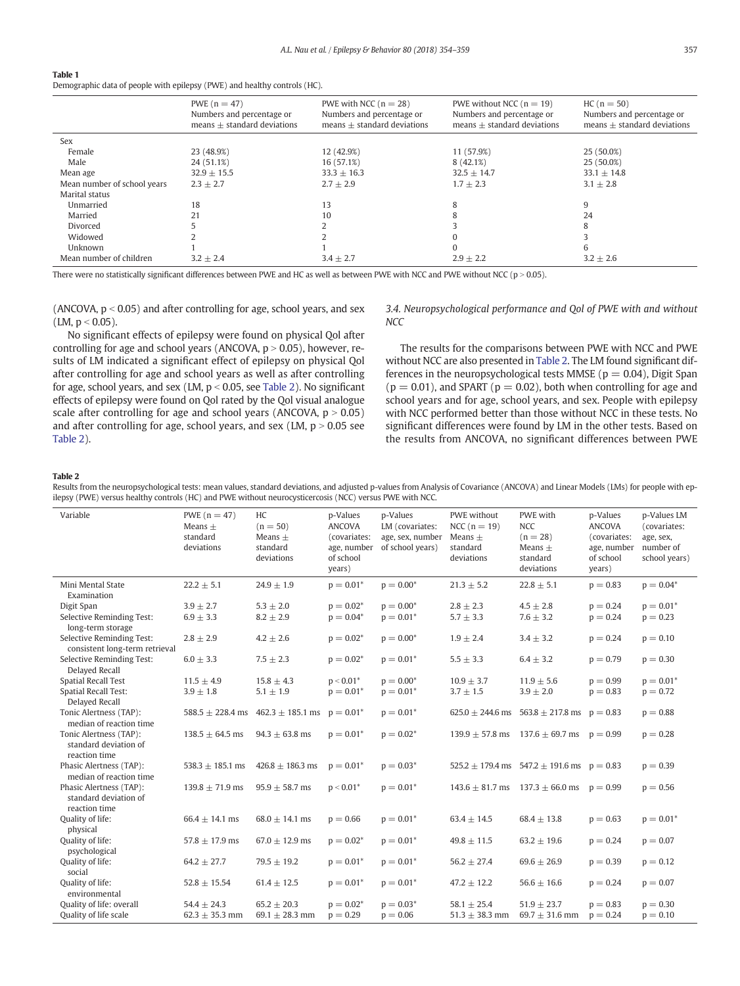# <span id="page-3-0"></span>Table 1

Demographic data of people with epilepsy (PWE) and healthy controls (HC).

|                             | PWE $(n = 47)$<br>Numbers and percentage or<br>$means + standard deviations$ | PWE with NCC $(n = 28)$<br>Numbers and percentage or<br>$means + standard deviations$ | PWE without NCC $(n = 19)$<br>Numbers and percentage or<br>$means + standard deviations$ | $HC(n = 50)$<br>Numbers and percentage or<br>$means + standard deviations$ |
|-----------------------------|------------------------------------------------------------------------------|---------------------------------------------------------------------------------------|------------------------------------------------------------------------------------------|----------------------------------------------------------------------------|
| Sex                         |                                                                              |                                                                                       |                                                                                          |                                                                            |
| Female                      | 23 (48.9%)                                                                   | 12 (42.9%)                                                                            | 11 (57.9%)                                                                               | 25 (50.0%)                                                                 |
| Male                        | 24 (51.1%)                                                                   | 16 (57.1%)                                                                            | 8(42.1%)                                                                                 | 25 (50.0%)                                                                 |
| Mean age                    | $32.9 + 15.5$                                                                | $33.3 + 16.3$                                                                         | $32.5 + 14.7$                                                                            | $33.1 + 14.8$                                                              |
| Mean number of school years | $2.3 + 2.7$                                                                  | $2.7 + 2.9$                                                                           | $1.7 + 2.3$                                                                              | $3.1 + 2.8$                                                                |
| Marital status              |                                                                              |                                                                                       |                                                                                          |                                                                            |
| Unmarried                   | 18                                                                           | 13                                                                                    | 8                                                                                        | 9                                                                          |
| Married                     | 21                                                                           | 10                                                                                    |                                                                                          | 24                                                                         |
| Divorced                    |                                                                              |                                                                                       |                                                                                          | 8                                                                          |
| Widowed                     |                                                                              |                                                                                       |                                                                                          |                                                                            |
| Unknown                     |                                                                              |                                                                                       |                                                                                          | 6                                                                          |
| Mean number of children     | $3.2 + 2.4$                                                                  | $3.4 + 2.7$                                                                           | $2.9 + 2.2$                                                                              | $3.2 + 2.6$                                                                |

There were no statistically significant differences between PWE and HC as well as between PWE with NCC and PWE without NCC ( $p > 0.05$ ).

(ANCOVA,  $p < 0.05$ ) and after controlling for age, school years, and sex  $(LM, p < 0.05)$ .

3.4. Neuropsychological performance and Qol of PWE with and without **NCC** 

No significant effects of epilepsy were found on physical Qol after controlling for age and school years (ANCOVA,  $p > 0.05$ ), however, results of LM indicated a significant effect of epilepsy on physical Qol after controlling for age and school years as well as after controlling for age, school years, and sex (LM,  $p < 0.05$ , see Table 2). No significant effects of epilepsy were found on Qol rated by the Qol visual analogue scale after controlling for age and school years (ANCOVA,  $p > 0.05$ ) and after controlling for age, school years, and sex (LM,  $p > 0.05$  see Table 2).

The results for the comparisons between PWE with NCC and PWE without NCC are also presented in Table 2. The LM found significant differences in the neuropsychological tests MMSE ( $p = 0.04$ ), Digit Span  $(p = 0.01)$ , and SPART  $(p = 0.02)$ , both when controlling for age and school years and for age, school years, and sex. People with epilepsy with NCC performed better than those without NCC in these tests. No significant differences were found by LM in the other tests. Based on the results from ANCOVA, no significant differences between PWE

## Table 2

Results from the neuropsychological tests: mean values, standard deviations, and adjusted p-values from Analysis of Covariance (ANCOVA) and Linear Models (LMs) for people with epilepsy (PWE) versus healthy controls (HC) and PWE without neurocysticercosis (NCC) versus PWE with NCC.

| Variable                                                          | PWE $(n = 47)$<br>$Means +$<br>standard<br>deviations | HC<br>$(n = 50)$<br>$Means +$<br>standard<br>deviations | p-Values<br><b>ANCOVA</b><br>(covariates:<br>age, number<br>of school<br>years) | p-Values<br>LM (covariates:<br>age, sex, number<br>of school years) | PWE without<br>NCC $(n = 19)$<br>$Means +$<br>standard<br>deviations | PWE with<br><b>NCC</b><br>$(n = 28)$<br>$Means +$<br>standard<br>deviations | p-Values<br><b>ANCOVA</b><br>(covariates:<br>age, number<br>of school<br>years) | p-Values LM<br>(covariates:<br>age, sex,<br>number of<br>school years) |
|-------------------------------------------------------------------|-------------------------------------------------------|---------------------------------------------------------|---------------------------------------------------------------------------------|---------------------------------------------------------------------|----------------------------------------------------------------------|-----------------------------------------------------------------------------|---------------------------------------------------------------------------------|------------------------------------------------------------------------|
| Mini Mental State<br>Examination                                  | $22.2 + 5.1$                                          | $24.9 + 1.9$                                            | $p = 0.01*$                                                                     | $p = 0.00*$                                                         | $21.3 \pm 5.2$                                                       | $22.8 \pm 5.1$                                                              | $p = 0.83$                                                                      | $p = 0.04*$                                                            |
| Digit Span                                                        | $3.9 \pm 2.7$                                         | $5.3 \pm 2.0$                                           | $p = 0.02^*$                                                                    | $p = 0.00*$                                                         | $2.8 \pm 2.3$                                                        | $4.5 \pm 2.8$                                                               | $p = 0.24$                                                                      | $p = 0.01*$                                                            |
| Selective Reminding Test:<br>long-term storage                    | $6.9 \pm 3.3$                                         | $8.2 \pm 2.9$                                           | $p = 0.04*$                                                                     | $p = 0.01*$                                                         | $5.7 \pm 3.3$                                                        | $7.6 \pm 3.2$                                                               | $p = 0.24$                                                                      | $p = 0.23$                                                             |
| Selective Reminding Test:<br>consistent long-term retrieval       | $2.8 \pm 2.9$                                         | $4.2 \pm 2.6$                                           | $p = 0.02*$                                                                     | $p = 0.00*$                                                         | $1.9 \pm 2.4$                                                        | $3.4 \pm 3.2$                                                               | $p = 0.24$                                                                      | $p = 0.10$                                                             |
| Selective Reminding Test:<br>Delayed Recall                       | $6.0 \pm 3.3$                                         | $7.5 \pm 2.3$                                           | $p = 0.02^*$                                                                    | $p = 0.01*$                                                         | $5.5 \pm 3.3$                                                        | $6.4 \pm 3.2$                                                               | $p = 0.79$                                                                      | $p = 0.30$                                                             |
| <b>Spatial Recall Test</b>                                        | $11.5 + 4.9$                                          | $15.8 \pm 4.3$                                          | $p < 0.01*$                                                                     | $p = 0.00*$                                                         | $10.9 \pm 3.7$                                                       | $11.9 \pm 5.6$                                                              | $p = 0.99$                                                                      | $p = 0.01*$                                                            |
| <b>Spatial Recall Test:</b><br>Delayed Recall                     | $3.9 \pm 1.8$                                         | $5.1 \pm 1.9$                                           | $p = 0.01*$                                                                     | $p = 0.01*$                                                         | $3.7 \pm 1.5$                                                        | $3.9 \pm 2.0$                                                               | $p = 0.83$                                                                      | $p = 0.72$                                                             |
| Tonic Alertness (TAP):<br>median of reaction time                 | $588.5 + 228.4$ ms                                    | $462.3 \pm 185.1$ ms                                    | $p = 0.01*$                                                                     | $p = 0.01*$                                                         | $625.0 + 244.6$ ms                                                   | $563.8 \pm 217.8$ ms                                                        | $p = 0.83$                                                                      | $p = 0.88$                                                             |
| Tonic Alertness (TAP):<br>standard deviation of<br>reaction time  | $138.5 + 64.5$ ms                                     | $94.3 + 63.8$ ms                                        | $p = 0.01*$                                                                     | $p = 0.02*$                                                         | $139.9 + 57.8$ ms                                                    | $137.6 \pm 69.7$ ms                                                         | $p = 0.99$                                                                      | $p = 0.28$                                                             |
| Phasic Alertness (TAP):<br>median of reaction time                | 538.3 $\pm$ 185.1 ms                                  | $426.8 \pm 186.3$ ms                                    | $p = 0.01*$                                                                     | $p = 0.03*$                                                         |                                                                      | $525.2 \pm 179.4$ ms $547.2 \pm 191.6$ ms $p = 0.83$                        |                                                                                 | $p = 0.39$                                                             |
| Phasic Alertness (TAP):<br>standard deviation of<br>reaction time | $139.8 + 71.9$ ms                                     | $95.9 + 58.7$ ms                                        | $p < 0.01*$                                                                     | $p = 0.01*$                                                         | $143.6 + 81.7$ ms                                                    | $137.3 \pm 66.0$ ms                                                         | $p = 0.99$                                                                      | $p = 0.56$                                                             |
| Quality of life:<br>physical                                      | $66.4 \pm 14.1$ ms                                    | $68.0 \pm 14.1$ ms                                      | $p = 0.66$                                                                      | $p = 0.01*$                                                         | $63.4 \pm 14.5$                                                      | $68.4 \pm 13.8$                                                             | $p = 0.63$                                                                      | $p = 0.01*$                                                            |
| Quality of life:<br>psychological                                 | 57.8 $\pm$ 17.9 ms                                    | $67.0 \pm 12.9$ ms                                      | $p = 0.02^*$                                                                    | $p = 0.01*$                                                         | $49.8 \pm 11.5$                                                      | $63.2 \pm 19.6$                                                             | $p = 0.24$                                                                      | $p = 0.07$                                                             |
| Quality of life:<br>social                                        | $64.2 + 27.7$                                         | $79.5 \pm 19.2$                                         | $p = 0.01*$                                                                     | $p = 0.01*$                                                         | $56.2 \pm 27.4$                                                      | $69.6 \pm 26.9$                                                             | $p = 0.39$                                                                      | $p = 0.12$                                                             |
| Quality of life:<br>environmental                                 | $52.8 \pm 15.54$                                      | $61.4 \pm 12.5$                                         | $p = 0.01*$                                                                     | $p = 0.01*$                                                         | $47.2 \pm 12.2$                                                      | $56.6 \pm 16.6$                                                             | $p = 0.24$                                                                      | $p = 0.07$                                                             |
| Quality of life: overall<br>Quality of life scale                 | $54.4 + 24.3$<br>62.3 $\pm$ 35.3 mm                   | $65.2 + 20.3$<br>69.1 $\pm$ 28.3 mm                     | $p = 0.02^*$<br>$p = 0.29$                                                      | $p = 0.03*$<br>$p = 0.06$                                           | $58.1 + 25.4$<br>$51.3 \pm 38.3$ mm                                  | $51.9 + 23.7$<br>69.7 $\pm$ 31.6 mm                                         | $p = 0.83$<br>$p = 0.24$                                                        | $p = 0.30$<br>$p = 0.10$                                               |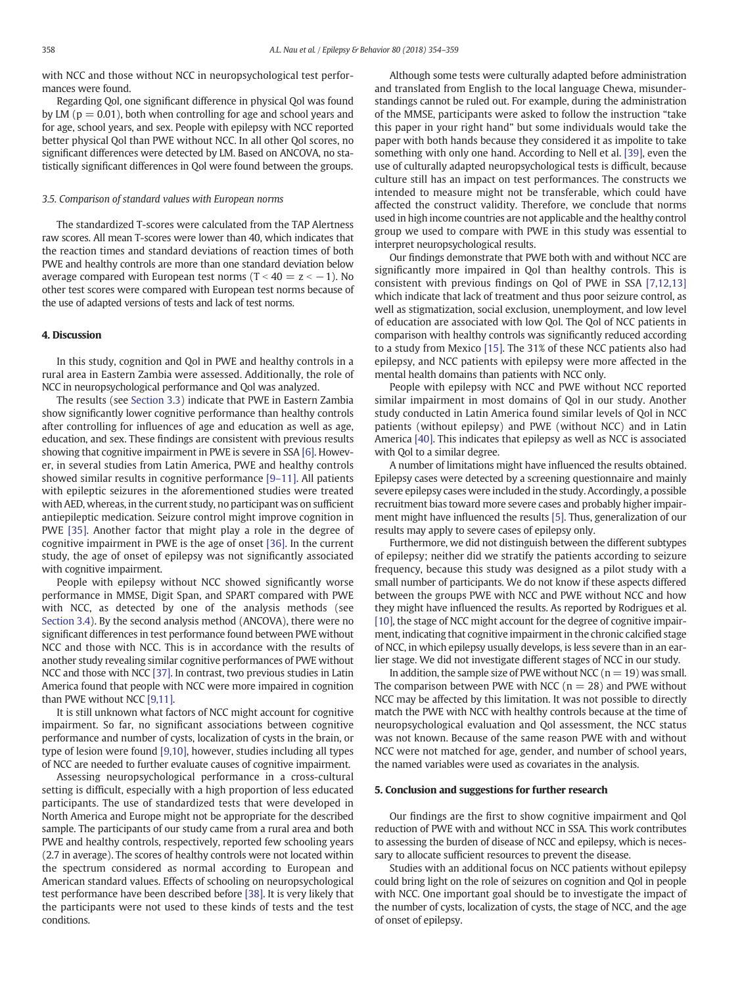with NCC and those without NCC in neuropsychological test performances were found.

Regarding Qol, one significant difference in physical Qol was found by LM ( $p = 0.01$ ), both when controlling for age and school years and for age, school years, and sex. People with epilepsy with NCC reported better physical Qol than PWE without NCC. In all other Qol scores, no significant differences were detected by LM. Based on ANCOVA, no statistically significant differences in Qol were found between the groups.

#### 3.5. Comparison of standard values with European norms

The standardized T-scores were calculated from the TAP Alertness raw scores. All mean T-scores were lower than 40, which indicates that the reaction times and standard deviations of reaction times of both PWE and healthy controls are more than one standard deviation below average compared with European test norms (T <  $40 = z < -1$ ). No other test scores were compared with European test norms because of the use of adapted versions of tests and lack of test norms.

## 4. Discussion

In this study, cognition and Qol in PWE and healthy controls in a rural area in Eastern Zambia were assessed. Additionally, the role of NCC in neuropsychological performance and Qol was analyzed.

The results (see [Section 3.3](#page-2-0)) indicate that PWE in Eastern Zambia show significantly lower cognitive performance than healthy controls after controlling for influences of age and education as well as age, education, and sex. These findings are consistent with previous results showing that cognitive impairment in PWE is severe in SSA [\[6\].](#page-5-0) However, in several studies from Latin America, PWE and healthy controls showed similar results in cognitive performance [9–[11\].](#page-5-0) All patients with epileptic seizures in the aforementioned studies were treated with AED, whereas, in the current study, no participant was on sufficient antiepileptic medication. Seizure control might improve cognition in PWE [\[35\].](#page-5-0) Another factor that might play a role in the degree of cognitive impairment in PWE is the age of onset [\[36\]](#page-5-0). In the current study, the age of onset of epilepsy was not significantly associated with cognitive impairment.

People with epilepsy without NCC showed significantly worse performance in MMSE, Digit Span, and SPART compared with PWE with NCC, as detected by one of the analysis methods (see [Section 3.4\)](#page-3-0). By the second analysis method (ANCOVA), there were no significant differences in test performance found between PWE without NCC and those with NCC. This is in accordance with the results of another study revealing similar cognitive performances of PWE without NCC and those with NCC [\[37\]](#page-5-0). In contrast, two previous studies in Latin America found that people with NCC were more impaired in cognition than PWE without NCC [\[9,11\]](#page-5-0).

It is still unknown what factors of NCC might account for cognitive impairment. So far, no significant associations between cognitive performance and number of cysts, localization of cysts in the brain, or type of lesion were found [\[9,10\]](#page-5-0), however, studies including all types of NCC are needed to further evaluate causes of cognitive impairment.

Assessing neuropsychological performance in a cross-cultural setting is difficult, especially with a high proportion of less educated participants. The use of standardized tests that were developed in North America and Europe might not be appropriate for the described sample. The participants of our study came from a rural area and both PWE and healthy controls, respectively, reported few schooling years (2.7 in average). The scores of healthy controls were not located within the spectrum considered as normal according to European and American standard values. Effects of schooling on neuropsychological test performance have been described before [\[38\].](#page-5-0) It is very likely that the participants were not used to these kinds of tests and the test conditions.

Although some tests were culturally adapted before administration and translated from English to the local language Chewa, misunderstandings cannot be ruled out. For example, during the administration of the MMSE, participants were asked to follow the instruction "take this paper in your right hand" but some individuals would take the paper with both hands because they considered it as impolite to take something with only one hand. According to Nell et al. [\[39\]](#page-5-0), even the use of culturally adapted neuropsychological tests is difficult, because culture still has an impact on test performances. The constructs we intended to measure might not be transferable, which could have affected the construct validity. Therefore, we conclude that norms used in high income countries are not applicable and the healthy control group we used to compare with PWE in this study was essential to interpret neuropsychological results.

Our findings demonstrate that PWE both with and without NCC are significantly more impaired in Qol than healthy controls. This is consistent with previous findings on Qol of PWE in SSA [\[7,12,13\]](#page-5-0) which indicate that lack of treatment and thus poor seizure control, as well as stigmatization, social exclusion, unemployment, and low level of education are associated with low Qol. The Qol of NCC patients in comparison with healthy controls was significantly reduced according to a study from Mexico [\[15\].](#page-5-0) The 31% of these NCC patients also had epilepsy, and NCC patients with epilepsy were more affected in the mental health domains than patients with NCC only.

People with epilepsy with NCC and PWE without NCC reported similar impairment in most domains of Qol in our study. Another study conducted in Latin America found similar levels of Qol in NCC patients (without epilepsy) and PWE (without NCC) and in Latin America [\[40\]](#page-5-0). This indicates that epilepsy as well as NCC is associated with Qol to a similar degree.

A number of limitations might have influenced the results obtained. Epilepsy cases were detected by a screening questionnaire and mainly severe epilepsy cases were included in the study. Accordingly, a possible recruitment bias toward more severe cases and probably higher impairment might have influenced the results [\[5\]](#page-5-0). Thus, generalization of our results may apply to severe cases of epilepsy only.

Furthermore, we did not distinguish between the different subtypes of epilepsy; neither did we stratify the patients according to seizure frequency, because this study was designed as a pilot study with a small number of participants. We do not know if these aspects differed between the groups PWE with NCC and PWE without NCC and how they might have influenced the results. As reported by Rodrigues et al. [\[10\]](#page-5-0), the stage of NCC might account for the degree of cognitive impairment, indicating that cognitive impairment in the chronic calcified stage of NCC, in which epilepsy usually develops, is less severe than in an earlier stage. We did not investigate different stages of NCC in our study.

In addition, the sample size of PWE without NCC ( $n = 19$ ) was small. The comparison between PWE with NCC ( $n = 28$ ) and PWE without NCC may be affected by this limitation. It was not possible to directly match the PWE with NCC with healthy controls because at the time of neuropsychological evaluation and Qol assessment, the NCC status was not known. Because of the same reason PWE with and without NCC were not matched for age, gender, and number of school years, the named variables were used as covariates in the analysis.

#### 5. Conclusion and suggestions for further research

Our findings are the first to show cognitive impairment and Qol reduction of PWE with and without NCC in SSA. This work contributes to assessing the burden of disease of NCC and epilepsy, which is necessary to allocate sufficient resources to prevent the disease.

Studies with an additional focus on NCC patients without epilepsy could bring light on the role of seizures on cognition and Qol in people with NCC. One important goal should be to investigate the impact of the number of cysts, localization of cysts, the stage of NCC, and the age of onset of epilepsy.